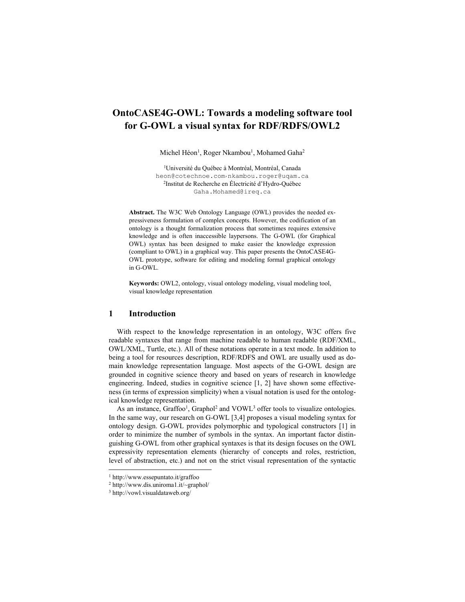# **OntoCASE4G-OWL: Towards a modeling software tool for G-OWL a visual syntax for RDF/RDFS/OWL2**

Michel Héon<sup>1</sup>, Roger Nkambou<sup>1</sup>, Mohamed Gaha<sup>2</sup>

1 Université du Québec à Montréal, Montréal, Canada heon@cotechnoe.com,nkambou.roger@uqam.ca 2 Institut de Recherche en Électricité d'Hydro-Québec Gaha.Mohamed@ireq.ca

**Abstract.** The W3C Web Ontology Language (OWL) provides the needed expressiveness formulation of complex concepts. However, the codification of an ontology is a thought formalization process that sometimes requires extensive knowledge and is often inaccessible laypersons. The G-OWL (for Graphical OWL) syntax has been designed to make easier the knowledge expression (compliant to OWL) in a graphical way. This paper presents the OntoCASE4G-OWL prototype, software for editing and modeling formal graphical ontology in G-OWL.

**Keywords:** OWL2, ontology, visual ontology modeling, visual modeling tool, visual knowledge representation

# **1 Introduction**

With respect to the knowledge representation in an ontology, W3C offers five readable syntaxes that range from machine readable to human readable (RDF/XML, OWL/XML, Turtle, etc.). All of these notations operate in a text mode. In addition to being a tool for resources description, RDF/RDFS and OWL are usually used as domain knowledge representation language. Most aspects of the G-OWL design are grounded in cognitive science theory and based on years of research in knowledge engineering. Indeed, studies in cognitive science [1, 2] have shown some effectiveness (in terms of expression simplicity) when a visual notation is used for the ontological knowledge representation.

As an instance,  $Graffoo^1$ ,  $Graphol^2$  and  $VOWL^3$  offer tools to visualize ontologies. In the same way, our research on G-OWL [3,4] proposes a visual modeling syntax for ontology design. G-OWL provides polymorphic and typological constructors [1] in order to minimize the number of symbols in the syntax. An important factor distinguishing G-OWL from other graphical syntaxes is that its design focuses on the OWL expressivity representation elements (hierarchy of concepts and roles, restriction, level of abstraction, etc.) and not on the strict visual representation of the syntactic

l

<sup>1</sup> http://www.essepuntato.it/graffoo

<sup>2</sup> http://www.dis.uniroma1.it/~graphol/

<sup>3</sup> http://vowl.visualdataweb.org/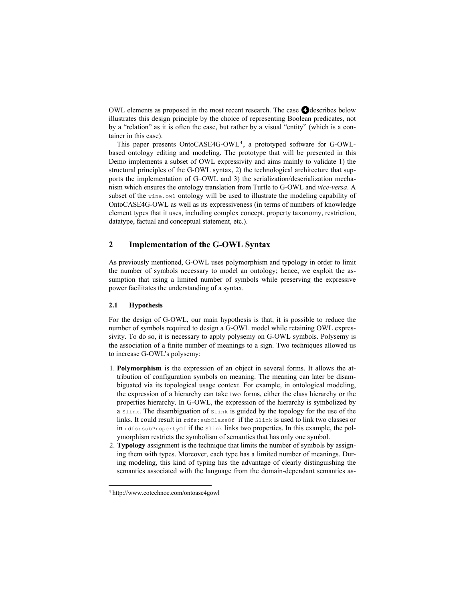OWL elements as proposed in the most recent research. The case **4** describes below illustrates this design principle by the choice of representing Boolean predicates, not by a "relation" as it is often the case, but rather by a visual "entity" (which is a container in this case).

This paper presents OntoCASE4G-OWL<sup>4</sup>, a prototyped software for G-OWLbased ontology editing and modeling. The prototype that will be presented in this Demo implements a subset of OWL expressivity and aims mainly to validate 1) the structural principles of the G-OWL syntax, 2) the technological architecture that supports the implementation of G–OWL and 3) the serialization/deserialization mechanism which ensures the ontology translation from Turtle to G-OWL and *vice-versa*. A subset of the wine.owl ontology will be used to illustrate the modeling capability of OntoCASE4G-OWL as well as its expressiveness (in terms of numbers of knowledge element types that it uses, including complex concept, property taxonomy, restriction, datatype, factual and conceptual statement, etc.).

# **2 Implementation of the G-OWL Syntax**

As previously mentioned, G-OWL uses polymorphism and typology in order to limit the number of symbols necessary to model an ontology; hence, we exploit the assumption that using a limited number of symbols while preserving the expressive power facilitates the understanding of a syntax.

# **2.1 Hypothesis**

For the design of G-OWL, our main hypothesis is that, it is possible to reduce the number of symbols required to design a G-OWL model while retaining OWL expressivity. To do so, it is necessary to apply polysemy on G-OWL symbols. Polysemy is the association of a finite number of meanings to a sign. Two techniques allowed us to increase G-OWL's polysemy:

- 1. **Polymorphism** is the expression of an object in several forms. It allows the attribution of configuration symbols on meaning. The meaning can later be disambiguated via its topological usage context. For example, in ontological modeling, the expression of a hierarchy can take two forms, either the class hierarchy or the properties hierarchy. In G-OWL, the expression of the hierarchy is symbolized by a Slink. The disambiguation of Slink is guided by the topology for the use of the links. It could result in  $rds$ : subClassOf if the Slink is used to link two classes or in rdfs:subPropertyOf if the Slink links two properties. In this example, the polymorphism restricts the symbolism of semantics that has only one symbol.
- 2. **Typology** assignment is the technique that limits the number of symbols by assigning them with types. Moreover, each type has a limited number of meanings. During modeling, this kind of typing has the advantage of clearly distinguishing the semantics associated with the language from the domain-dependant semantics as-

 $\overline{a}$ 

<sup>4</sup> http://www.cotechnoe.com/ontoase4gowl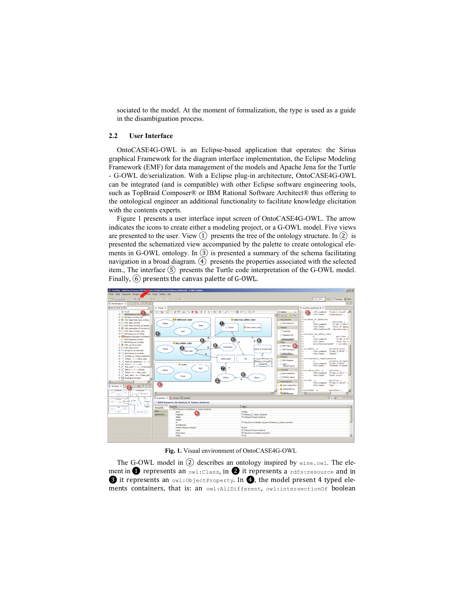sociated to the model. At the moment of formalization, the type is used as a guide in the disambiguation process.

#### **2.2 User Interface**

OntoCASE4G-OWL is an Eclipse-based application that operates: the Sirius graphical Framework for the diagram interface implementation, the Eclipse Modeling Framework (EMF) for data management of the models and Apache Jena for the Turtle - G-OWL de/serialization. With a Eclipse plug-in architecture, OntoCASE4G-OWL can be integrated (and is compatible) with other Eclipse software engineering tools, such as TopBraid Composer® or IBM Rational Software Architect® thus offering to the ontological engineer an additional functionality to facilitate knowledge elicitation with the contents experts.

Figure 1 presents a user interface input screen of OntoCASE4G-OWL. The arrow indicates the icons to create either a modeling project, or a G-OWL model. Five views are presented to the user. View  $(1)$  presents the tree of the ontology structure. In  $(2)$  is presented the schematized view accompanied by the palette to create ontological elements in G-OWL ontology. In  $(3)$  is presented a summary of the schema facilitating navigation in a broad diagram. (4) presents the properties associated with the selected item., The interface  $(5)$  presents the Turtle code interpretation of the G-OWL model. Finally,  $(6)$  presents the canvas palette of G-OWL.



**Fig. 1.** Visual environment of OntoCASE4G-OWL

The G-OWL model in (2) describes an ontology inspired by wine.owl. The element in  $\bullet$  represents an owl:Class, in  $\bullet$  it represents a rdfs: resource and in  $\bigcirc$  it represents an owl:ObjectProperty. In  $\bigcirc$ , the model present 4 typed elements containers, that is: an owl:AllDifferent, owl:intersectionOf boolean